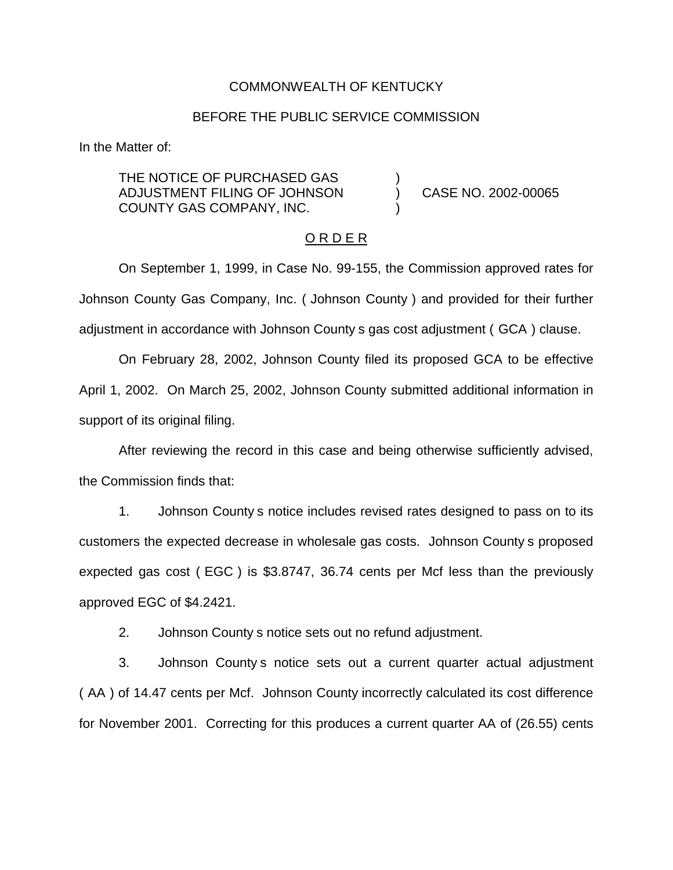### COMMONWEALTH OF KENTUCKY

## BEFORE THE PUBLIC SERVICE COMMISSION

In the Matter of:

THE NOTICE OF PURCHASED GAS ADJUSTMENT FILING OF JOHNSON ) CASE NO. 2002-00065 COUNTY GAS COMPANY, INC. )

#### O R D E R

On September 1, 1999, in Case No. 99-155, the Commission approved rates for Johnson County Gas Company, Inc. ( Johnson County ) and provided for their further adjustment in accordance with Johnson County s gas cost adjustment ( GCA ) clause.

On February 28, 2002, Johnson County filed its proposed GCA to be effective April 1, 2002. On March 25, 2002, Johnson County submitted additional information in support of its original filing.

After reviewing the record in this case and being otherwise sufficiently advised, the Commission finds that:

1. Johnson County s notice includes revised rates designed to pass on to its customers the expected decrease in wholesale gas costs. Johnson County s proposed expected gas cost ( EGC ) is \$3.8747, 36.74 cents per Mcf less than the previously approved EGC of \$4.2421.

2. Johnson County s notice sets out no refund adjustment.

3. Johnson County s notice sets out a current quarter actual adjustment ( AA ) of 14.47 cents per Mcf. Johnson County incorrectly calculated its cost difference for November 2001. Correcting for this produces a current quarter AA of (26.55) cents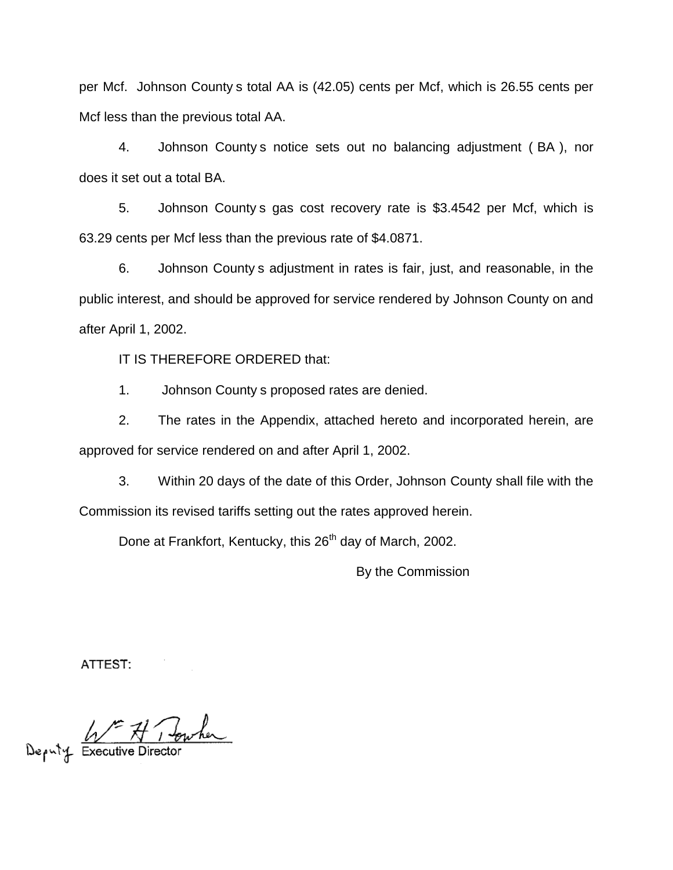per Mcf. Johnson County s total AA is (42.05) cents per Mcf, which is 26.55 cents per Mcf less than the previous total AA.

4. Johnson County s notice sets out no balancing adjustment ( BA ), nor does it set out a total BA.

5. Johnson County s gas cost recovery rate is \$3.4542 per Mcf, which is 63.29 cents per Mcf less than the previous rate of \$4.0871.

6. Johnson County s adjustment in rates is fair, just, and reasonable, in the public interest, and should be approved for service rendered by Johnson County on and after April 1, 2002.

IT IS THEREFORE ORDERED that:

1. Johnson County s proposed rates are denied.

2. The rates in the Appendix, attached hereto and incorporated herein, are approved for service rendered on and after April 1, 2002.

3. Within 20 days of the date of this Order, Johnson County shall file with the Commission its revised tariffs setting out the rates approved herein.

Done at Frankfort, Kentucky, this 26<sup>th</sup> day of March, 2002.

By the Commission

ATTEST:

Deputy Executive Director